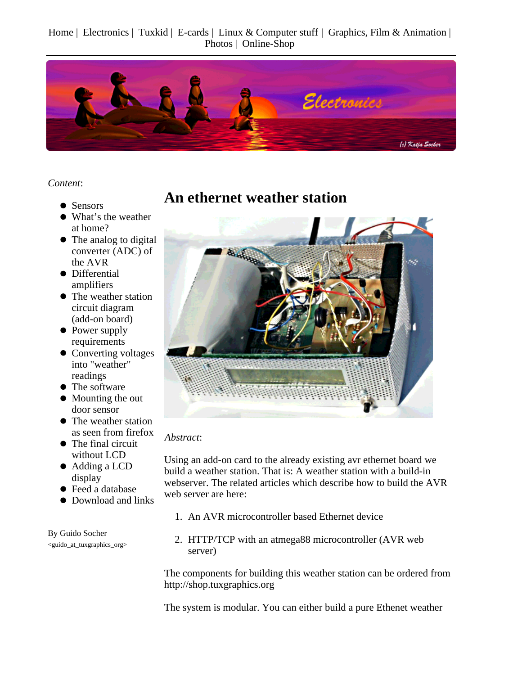Home | Electronics | Tuxkid | E-cards | Linux & Computer stuff | Graphics, Film & Animation | Photos | Online-Shop



*Content*:

- Sensors
- What's the weather at home?
- The analog to digital converter (ADC) of the AVR
- Differential amplifiers
- The weather station circuit diagram (add-on board)
- Power supply requirements
- Converting voltages into "weather" readings
- The software
- Mounting the out door sensor
- The weather station as seen from firefox
- The final circuit without LCD
- Adding a LCD display
- Feed a database
- Download and links

By Guido Socher <guido\_at\_tuxgraphics\_org>

#### **An ethernet weather station**



#### *Abstract*:

Using an add-on card to the already existing avr ethernet board we build a weather station. That is: A weather station with a build-in webserver. The related articles which describe how to build the AVR web server are here:

- 1. An AVR microcontroller based Ethernet device
- 2. HTTP/TCP with an atmega88 microcontroller (AVR web server)

The components for building this weather station can be ordered from http://shop.tuxgraphics.org

The system is modular. You can either build a pure Ethenet weather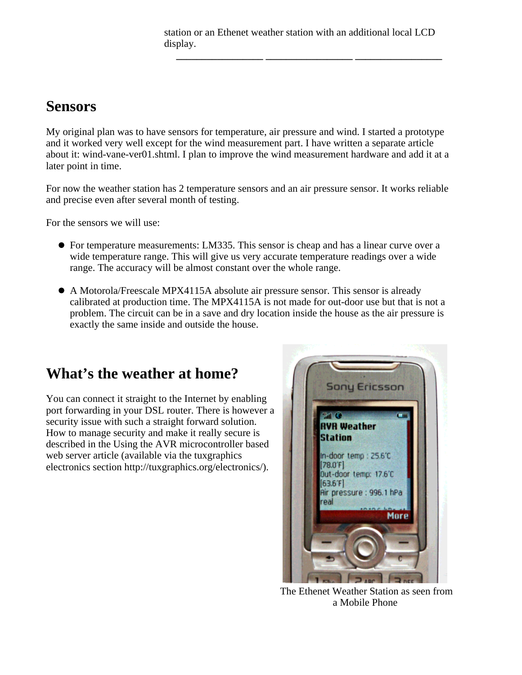station or an Ethenet weather station with an additional local LCD display.

**\_\_\_\_\_\_\_\_\_\_\_\_\_\_\_\_\_ \_\_\_\_\_\_\_\_\_\_\_\_\_\_\_\_\_ \_\_\_\_\_\_\_\_\_\_\_\_\_\_\_\_\_**

#### **Sensors**

My original plan was to have sensors for temperature, air pressure and wind. I started a prototype and it worked very well except for the wind measurement part. I have written a separate article about it: wind-vane-ver01.shtml. I plan to improve the wind measurement hardware and add it at a later point in time.

For now the weather station has 2 temperature sensors and an air pressure sensor. It works reliable and precise even after several month of testing.

For the sensors we will use:

- For temperature measurements: LM335. This sensor is cheap and has a linear curve over a wide temperature range. This will give us very accurate temperature readings over a wide range. The accuracy will be almost constant over the whole range.
- A Motorola/Freescale MPX4115A absolute air pressure sensor. This sensor is already calibrated at production time. The MPX4115A is not made for out-door use but that is not a problem. The circuit can be in a save and dry location inside the house as the air pressure is exactly the same inside and outside the house.

## **What's the weather at home?**

You can connect it straight to the Internet by enabling port forwarding in your DSL router. There is however a security issue with such a straight forward solution. How to manage security and make it really secure is described in the Using the AVR microcontroller based web server article (available via the tuxgraphics electronics section http://tuxgraphics.org/electronics/).



The Ethenet Weather Station as seen from a Mobile Phone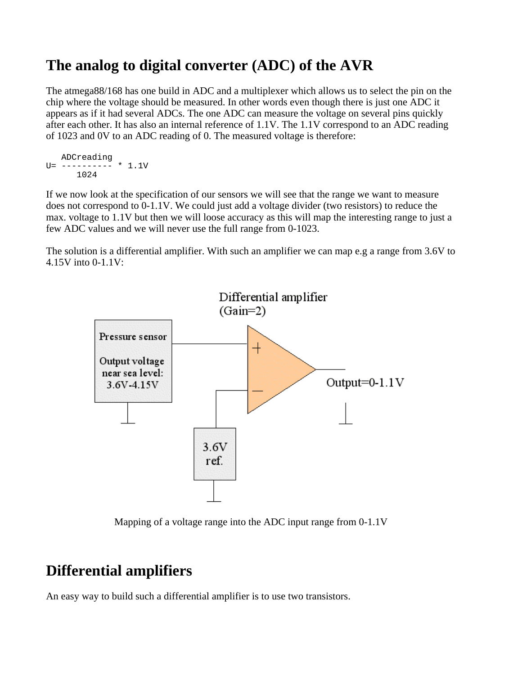## **The analog to digital converter (ADC) of the AVR**

The atmega88/168 has one build in ADC and a multiplexer which allows us to select the pin on the chip where the voltage should be measured. In other words even though there is just one ADC it appears as if it had several ADCs. The one ADC can measure the voltage on several pins quickly after each other. It has also an internal reference of 1.1V. The 1.1V correspond to an ADC reading of 1023 and 0V to an ADC reading of 0. The measured voltage is therefore:

```
 ADCreading
U=- ---------- * 1.1V
       1024
```
If we now look at the specification of our sensors we will see that the range we want to measure does not correspond to 0-1.1V. We could just add a voltage divider (two resistors) to reduce the max. voltage to 1.1V but then we will loose accuracy as this will map the interesting range to just a few ADC values and we will never use the full range from 0-1023.

The solution is a differential amplifier. With such an amplifier we can map e.g a range from 3.6V to 4.15V into 0-1.1V:



Mapping of a voltage range into the ADC input range from 0-1.1V

#### **Differential amplifiers**

An easy way to build such a differential amplifier is to use two transistors.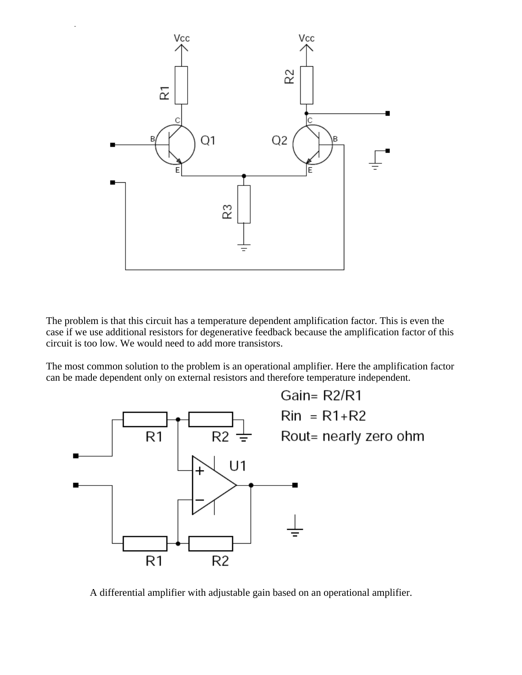

The problem is that this circuit has a temperature dependent amplification factor. This is even the case if we use additional resistors for degenerative feedback because the amplification factor of this circuit is too low. We would need to add more transistors.

The most common solution to the problem is an operational amplifier. Here the amplification factor can be made dependent only on external resistors and therefore temperature independent.



A differential amplifier with adjustable gain based on an operational amplifier.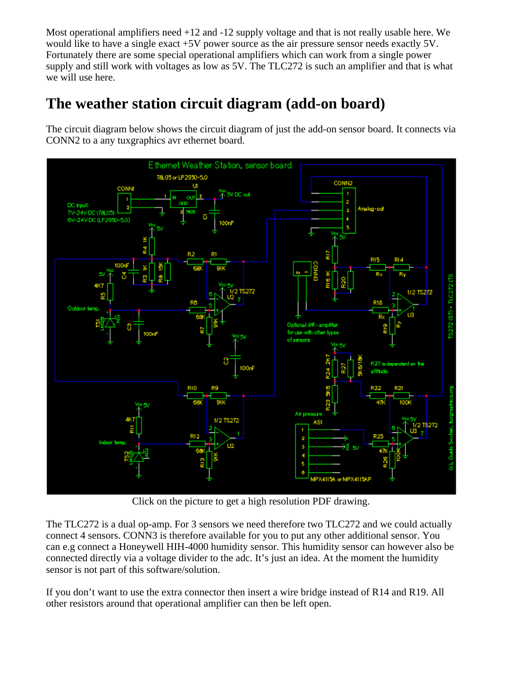Most operational amplifiers need +12 and -12 supply voltage and that is not really usable here. We would like to have a single exact +5V power source as the air pressure sensor needs exactly 5V. Fortunately there are some special operational amplifiers which can work from a single power supply and still work with voltages as low as 5V. The TLC272 is such an amplifier and that is what we will use here.

## **The weather station circuit diagram (add-on board)**

The circuit diagram below shows the circuit diagram of just the add-on sensor board. It connects via CONN2 to a any tuxgraphics avr ethernet board.



Click on the picture to get a high resolution PDF drawing.

The TLC272 is a dual op-amp. For 3 sensors we need therefore two TLC272 and we could actually connect 4 sensors. CONN3 is therefore available for you to put any other additional sensor. You can e.g connect a Honeywell HIH-4000 humidity sensor. This humidity sensor can however also be connected directly via a voltage divider to the adc. It's just an idea. At the moment the humidity sensor is not part of this software/solution.

If you don't want to use the extra connector then insert a wire bridge instead of R14 and R19. All other resistors around that operational amplifier can then be left open.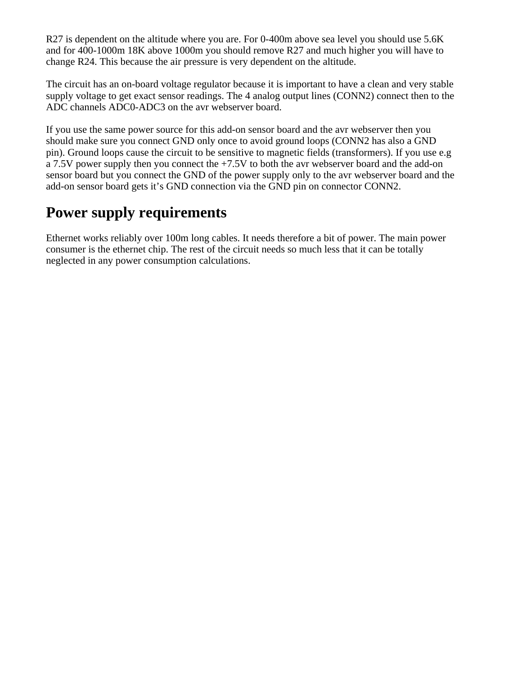R27 is dependent on the altitude where you are. For 0-400m above sea level you should use 5.6K and for 400-1000m 18K above 1000m you should remove R27 and much higher you will have to change R24. This because the air pressure is very dependent on the altitude.

The circuit has an on-board voltage regulator because it is important to have a clean and very stable supply voltage to get exact sensor readings. The 4 analog output lines (CONN2) connect then to the ADC channels ADC0-ADC3 on the avr webserver board.

If you use the same power source for this add-on sensor board and the avr webserver then you should make sure you connect GND only once to avoid ground loops (CONN2 has also a GND pin). Ground loops cause the circuit to be sensitive to magnetic fields (transformers). If you use e.g a 7.5V power supply then you connect the +7.5V to both the avr webserver board and the add-on sensor board but you connect the GND of the power supply only to the avr webserver board and the add-on sensor board gets it's GND connection via the GND pin on connector CONN2.

## **Power supply requirements**

Ethernet works reliably over 100m long cables. It needs therefore a bit of power. The main power consumer is the ethernet chip. The rest of the circuit needs so much less that it can be totally neglected in any power consumption calculations.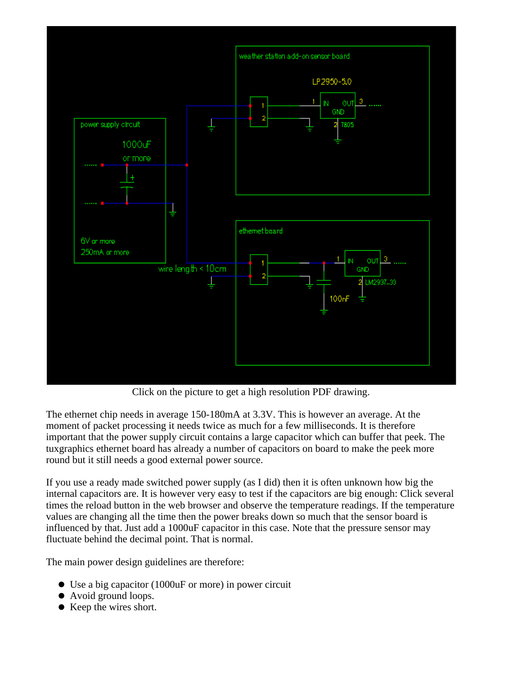

Click on the picture to get a high resolution PDF drawing.

The ethernet chip needs in average 150-180mA at 3.3V. This is however an average. At the moment of packet processing it needs twice as much for a few milliseconds. It is therefore important that the power supply circuit contains a large capacitor which can buffer that peek. The tuxgraphics ethernet board has already a number of capacitors on board to make the peek more round but it still needs a good external power source.

If you use a ready made switched power supply (as I did) then it is often unknown how big the internal capacitors are. It is however very easy to test if the capacitors are big enough: Click several times the reload button in the web browser and observe the temperature readings. If the temperature values are changing all the time then the power breaks down so much that the sensor board is influenced by that. Just add a 1000uF capacitor in this case. Note that the pressure sensor may fluctuate behind the decimal point. That is normal.

The main power design guidelines are therefore:

- Use a big capacitor (1000uF or more) in power circuit
- Avoid ground loops.
- Keep the wires short.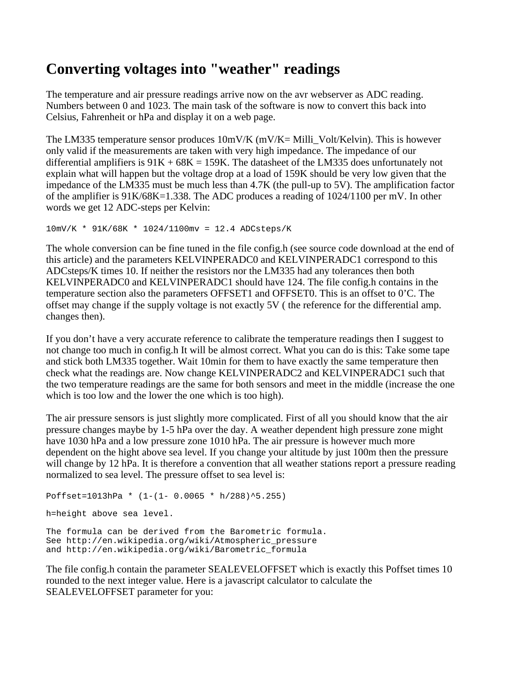## **Converting voltages into "weather" readings**

The temperature and air pressure readings arrive now on the avr webserver as ADC reading. Numbers between 0 and 1023. The main task of the software is now to convert this back into Celsius, Fahrenheit or hPa and display it on a web page.

The LM335 temperature sensor produces 10mV/K (mV/K= Milli\_Volt/Kelvin). This is however only valid if the measurements are taken with very high impedance. The impedance of our differential amplifiers is  $91K + 68K = 159K$ . The datasheet of the LM335 does unfortunately not explain what will happen but the voltage drop at a load of 159K should be very low given that the impedance of the LM335 must be much less than 4.7K (the pull-up to 5V). The amplification factor of the amplifier is 91K/68K=1.338. The ADC produces a reading of 1024/1100 per mV. In other words we get 12 ADC-steps per Kelvin:

```
10mV/K * 91K/68K * 1024/1100mv = 12.4 ADCsteps/K
```
The whole conversion can be fine tuned in the file config.h (see source code download at the end of this article) and the parameters KELVINPERADC0 and KELVINPERADC1 correspond to this ADCsteps/K times 10. If neither the resistors nor the LM335 had any tolerances then both KELVINPERADC0 and KELVINPERADC1 should have 124. The file config.h contains in the temperature section also the parameters OFFSET1 and OFFSET0. This is an offset to 0'C. The offset may change if the supply voltage is not exactly 5V ( the reference for the differential amp. changes then).

If you don't have a very accurate reference to calibrate the temperature readings then I suggest to not change too much in config.h It will be almost correct. What you can do is this: Take some tape and stick both LM335 together. Wait 10min for them to have exactly the same temperature then check what the readings are. Now change KELVINPERADC2 and KELVINPERADC1 such that the two temperature readings are the same for both sensors and meet in the middle (increase the one which is too low and the lower the one which is too high).

The air pressure sensors is just slightly more complicated. First of all you should know that the air pressure changes maybe by 1-5 hPa over the day. A weather dependent high pressure zone might have 1030 hPa and a low pressure zone 1010 hPa. The air pressure is however much more dependent on the hight above sea level. If you change your altitude by just 100m then the pressure will change by 12 hPa. It is therefore a convention that all weather stations report a pressure reading normalized to sea level. The pressure offset to sea level is:

```
Poffset=1013hPa * (1-(1- 0.0065 * h/288)^5.255)
h=height above sea level.
The formula can be derived from the Barometric formula.
```
See http://en.wikipedia.org/wiki/Atmospheric\_pressure and http://en.wikipedia.org/wiki/Barometric formula

The file config.h contain the parameter SEALEVELOFFSET which is exactly this Poffset times 10 rounded to the next integer value. Here is a javascript calculator to calculate the SEALEVELOFFSET parameter for you: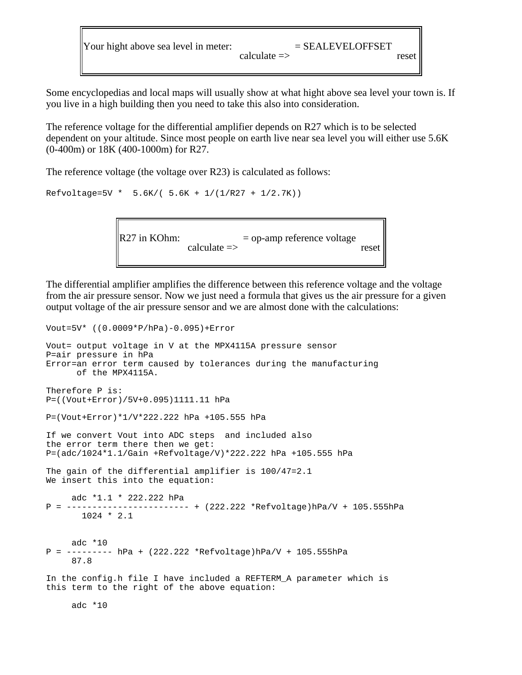Your hight above sea level in meter:  $calec$  = SEALEVELOFFSET reset

Some encyclopedias and local maps will usually show at what hight above sea level your town is. If you live in a high building then you need to take this also into consideration.

The reference voltage for the differential amplifier depends on R27 which is to be selected dependent on your altitude. Since most people on earth live near sea level you will either use 5.6K (0-400m) or 18K (400-1000m) for R27.

The reference voltage (the voltage over R23) is calculated as follows:

Refvoltage=5V \* 5.6K/( 5.6K + 1/(1/R27 + 1/2.7K))

Vout=5V\* ((0.0009\*P/hPa)-0.095)+Error

R27 in KOhm:  $calculus$  = op-amp reference voltage reset

The differential amplifier amplifies the difference between this reference voltage and the voltage from the air pressure sensor. Now we just need a formula that gives us the air pressure for a given output voltage of the air pressure sensor and we are almost done with the calculations:

```
Vout= output voltage in V at the MPX4115A pressure sensor
P=air pressure in hPa
Error=an error term caused by tolerances during the manufacturing
      of the MPX4115A.
Therefore P is:
P=((Vout+Error)/5V+0.095)1111.11 hPa
P=(Vout+Error)*1/V*222.222 hPa +105.555 hPa
If we convert Vout into ADC steps and included also
the error term there then we get:
P=(adc/1024*1.1/Gain +Refvoltage/V)*222.222 hPa +105.555 hPa
The gain of the differential amplifier is 100/47=2.1
We insert this into the equation:
     adc *1.1 * 222.222 hPa
P = ------------------------ + (222.222 *Refvoltage)hPa/V + 105.555hPa
       1024 * 2.1
     adc *10
P = --------- hPa + (222.222 *Refvoltage)hPa/V + 105.555hPa
      87.8
In the config.h file I have included a REFTERM_A parameter which is
this term to the right of the above equation:
```
adc \*10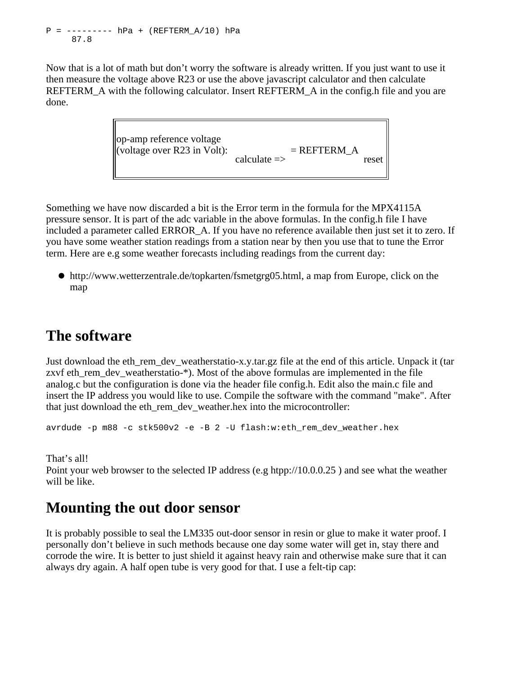$P =$  --------  $hPa + (REFTERM A/10) hPa$ 87.8

Now that is a lot of math but don't worry the software is already written. If you just want to use it then measure the voltage above R23 or use the above javascript calculator and then calculate REFTERM A with the following calculator. Insert REFTERM A in the config.h file and you are done.



Something we have now discarded a bit is the Error term in the formula for the MPX4115A pressure sensor. It is part of the adc variable in the above formulas. In the config.h file I have included a parameter called ERROR A. If you have no reference available then just set it to zero. If you have some weather station readings from a station near by then you use that to tune the Error term. Here are e.g some weather forecasts including readings from the current day:

http://www.wetterzentrale.de/topkarten/fsmetgrg05.html, a map from Europe, click on the map

#### **The software**

Just download the eth rem\_dev\_weatherstatio-x.y.tar.gz file at the end of this article. Unpack it (tar zxvf eth\_rem\_dev\_weatherstatio-\*). Most of the above formulas are implemented in the file analog.c but the configuration is done via the header file config.h. Edit also the main.c file and insert the IP address you would like to use. Compile the software with the command "make". After that just download the eth\_rem\_dev\_weather.hex into the microcontroller:

avrdude -p m88 -c stk500v2 -e -B 2 -U flash:w:eth\_rem\_dev\_weather.hex

That's all!

Point your web browser to the selected IP address (e.g htpp://10.0.0.25 ) and see what the weather will be like.

#### **Mounting the out door sensor**

It is probably possible to seal the LM335 out-door sensor in resin or glue to make it water proof. I personally don't believe in such methods because one day some water will get in, stay there and corrode the wire. It is better to just shield it against heavy rain and otherwise make sure that it can always dry again. A half open tube is very good for that. I use a felt-tip cap: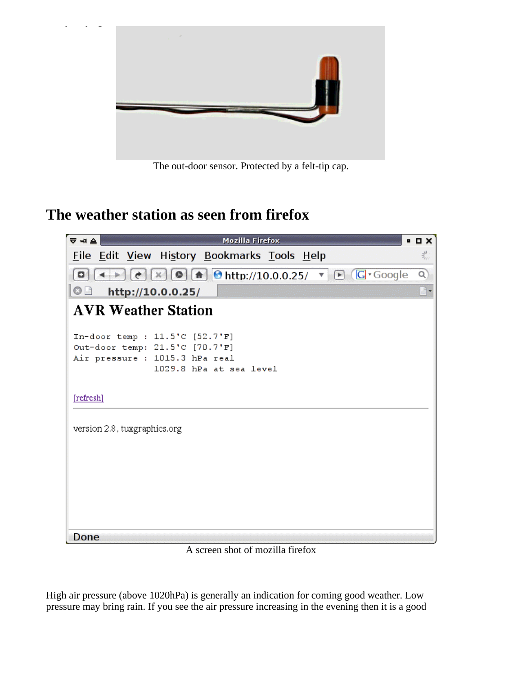

The out-door sensor. Protected by a felt-tip cap.

## **The weather station as seen from firefox**



A screen shot of mozilla firefox

High air pressure (above 1020hPa) is generally an indication for coming good weather. Low pressure may bring rain. If you see the air pressure increasing in the evening then it is a good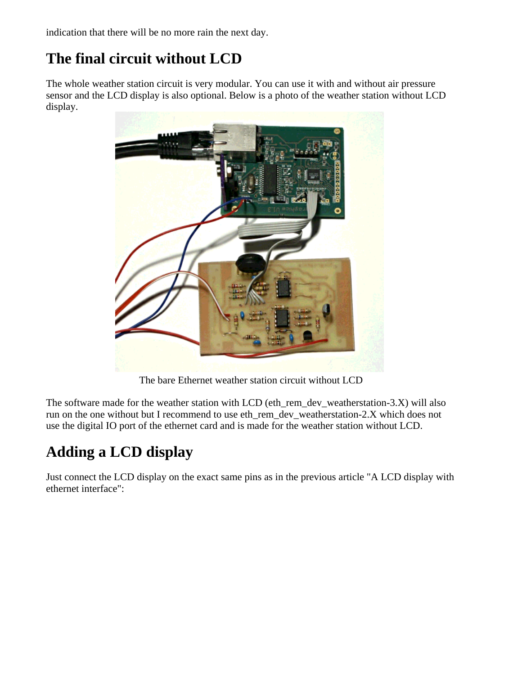indication that there will be no more rain the next day.

## **The final circuit without LCD**

The whole weather station circuit is very modular. You can use it with and without air pressure sensor and the LCD display is also optional. Below is a photo of the weather station without LCD display.



The bare Ethernet weather station circuit without LCD

The software made for the weather station with LCD (eth\_rem\_dev\_weatherstation-3.X) will also run on the one without but I recommend to use eth\_rem\_dev\_weatherstation-2.X which does not use the digital IO port of the ethernet card and is made for the weather station without LCD.

# **Adding a LCD display**

Just connect the LCD display on the exact same pins as in the previous article "A LCD display with ethernet interface":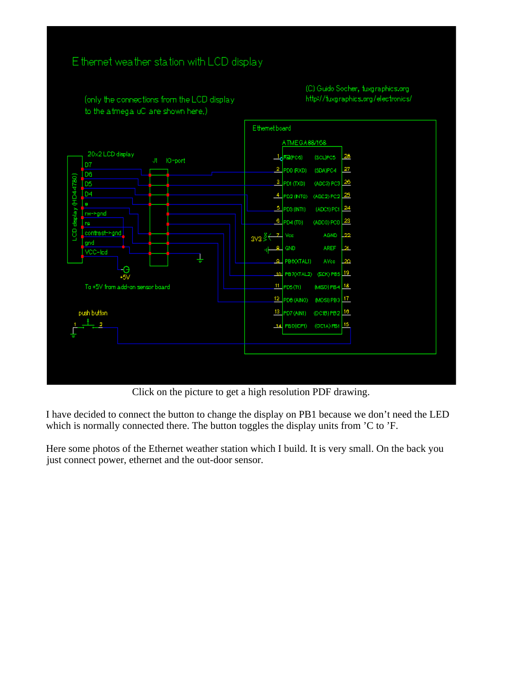

Click on the picture to get a high resolution PDF drawing.

I have decided to connect the button to change the display on PB1 because we don't need the LED which is normally connected there. The button toggles the display units from 'C to 'F.

Here some photos of the Ethernet weather station which I build. It is very small. On the back you just connect power, ethernet and the out-door sensor.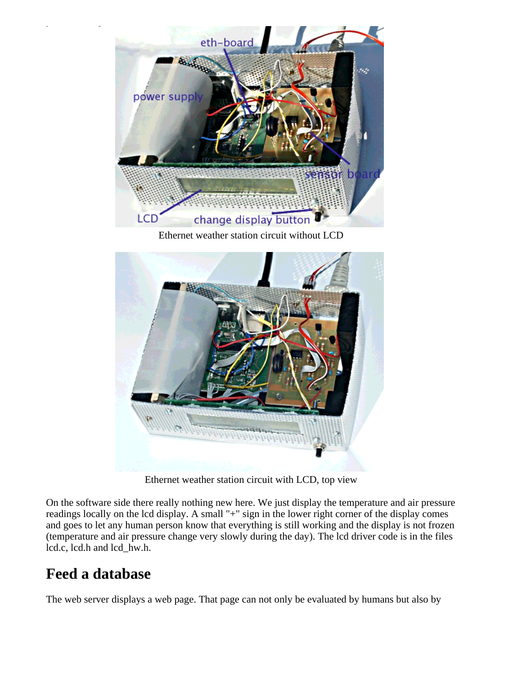

Ethernet weather station circuit without LCD



Ethernet weather station circuit with LCD, top view

On the software side there really nothing new here. We just display the temperature and air pressure readings locally on the lcd display. A small "+" sign in the lower right corner of the display comes and goes to let any human person know that everything is still working and the display is not frozen (temperature and air pressure change very slowly during the day). The lcd driver code is in the files lcd.c, lcd.h and lcd\_hw.h.

## **Feed a database**

The web server displays a web page. That page can not only be evaluated by humans but also by